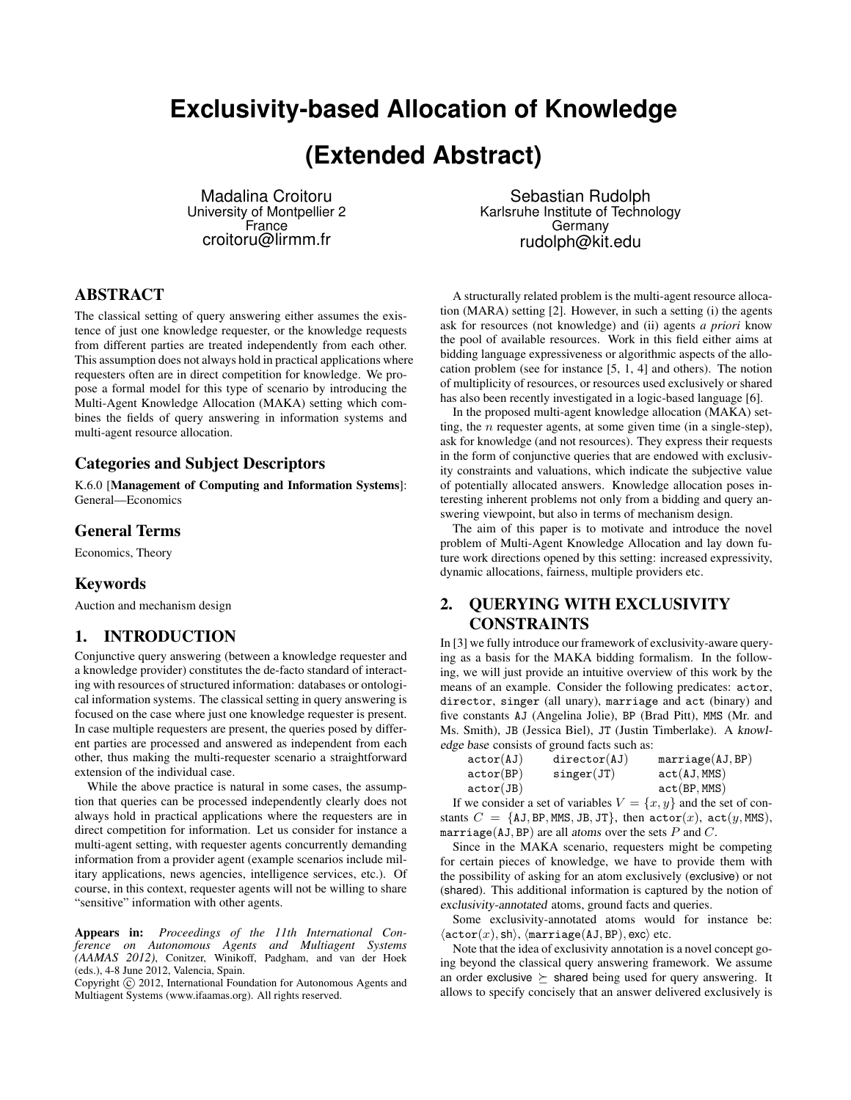# **Exclusivity-based Allocation of Knowledge**

# **(Extended Abstract)**

Madalina Croitoru University of Montpellier 2 France croitoru@lirmm.fr

ABSTRACT

The classical setting of query answering either assumes the existence of just one knowledge requester, or the knowledge requests from different parties are treated independently from each other. This assumption does not always hold in practical applications where requesters often are in direct competition for knowledge. We propose a formal model for this type of scenario by introducing the Multi-Agent Knowledge Allocation (MAKA) setting which combines the fields of query answering in information systems and multi-agent resource allocation.

#### Categories and Subject Descriptors

K.6.0 [Management of Computing and Information Systems]: General—Economics

#### General Terms

Economics, Theory

#### Keywords

Auction and mechanism design

## 1. INTRODUCTION

Conjunctive query answering (between a knowledge requester and a knowledge provider) constitutes the de-facto standard of interacting with resources of structured information: databases or ontological information systems. The classical setting in query answering is focused on the case where just one knowledge requester is present. In case multiple requesters are present, the queries posed by different parties are processed and answered as independent from each other, thus making the multi-requester scenario a straightforward extension of the individual case.

While the above practice is natural in some cases, the assumption that queries can be processed independently clearly does not always hold in practical applications where the requesters are in direct competition for information. Let us consider for instance a multi-agent setting, with requester agents concurrently demanding information from a provider agent (example scenarios include military applications, news agencies, intelligence services, etc.). Of course, in this context, requester agents will not be willing to share "sensitive" information with other agents.

Appears in: *Proceedings of the 11th International Conference on Autonomous Agents and Multiagent Systems (AAMAS 2012)*, Conitzer, Winikoff, Padgham, and van der Hoek (eds.), 4-8 June 2012, Valencia, Spain.

Copyright (C) 2012, International Foundation for Autonomous Agents and Multiagent Systems (www.ifaamas.org). All rights reserved.

Sebastian Rudolph Karlsruhe Institute of Technology Germany rudolph@kit.edu

A structurally related problem is the multi-agent resource allocation (MARA) setting [2]. However, in such a setting (i) the agents ask for resources (not knowledge) and (ii) agents *a priori* know the pool of available resources. Work in this field either aims at bidding language expressiveness or algorithmic aspects of the allocation problem (see for instance [5, 1, 4] and others). The notion of multiplicity of resources, or resources used exclusively or shared has also been recently investigated in a logic-based language [6].

In the proposed multi-agent knowledge allocation (MAKA) setting, the  $n$  requester agents, at some given time (in a single-step), ask for knowledge (and not resources). They express their requests in the form of conjunctive queries that are endowed with exclusivity constraints and valuations, which indicate the subjective value of potentially allocated answers. Knowledge allocation poses interesting inherent problems not only from a bidding and query answering viewpoint, but also in terms of mechanism design.

The aim of this paper is to motivate and introduce the novel problem of Multi-Agent Knowledge Allocation and lay down future work directions opened by this setting: increased expressivity, dynamic allocations, fairness, multiple providers etc.

### 2. QUERYING WITH EXCLUSIVITY CONSTRAINTS

In [3] we fully introduce our framework of exclusivity-aware querying as a basis for the MAKA bidding formalism. In the following, we will just provide an intuitive overview of this work by the means of an example. Consider the following predicates: actor, director, singer (all unary), marriage and act (binary) and five constants AJ (Angelina Jolie), BP (Brad Pitt), MMS (Mr. and Ms. Smith), JB (Jessica Biel), JT (Justin Timberlake). A knowledge base consists of ground facts such as:

| actor(AJ) | $\text{directory}(AJ)$ | marriage(AJ, BP) |
|-----------|------------------------|------------------|
| actor(BP) | singer(JT)             | act(AJ, MMS)     |
| actor(JB) |                        | act(BP, MMS)     |

If we consider a set of variables  $V = \{x, y\}$  and the set of constants  $C = \{AJ, BP, MMS, JB, JT\}$ , then  $actor(x)$ ,  $act(y, MMS)$ , marriage(AJ, BP) are all atoms over the sets  $P$  and  $C$ .

Since in the MAKA scenario, requesters might be competing for certain pieces of knowledge, we have to provide them with the possibility of asking for an atom exclusively (exclusive) or not (shared). This additional information is captured by the notion of exclusivity-annotated atoms, ground facts and queries.

Some exclusivity-annotated atoms would for instance be:  $\langle \texttt{actor}(x), \texttt{sh} \rangle$ ,  $\langle \texttt{marriage}(\texttt{AJ}, \texttt{BP}), \texttt{exc} \rangle$  etc.

Note that the idea of exclusivity annotation is a novel concept going beyond the classical query answering framework. We assume an order exclusive  $\succeq$  shared being used for query answering. It allows to specify concisely that an answer delivered exclusively is